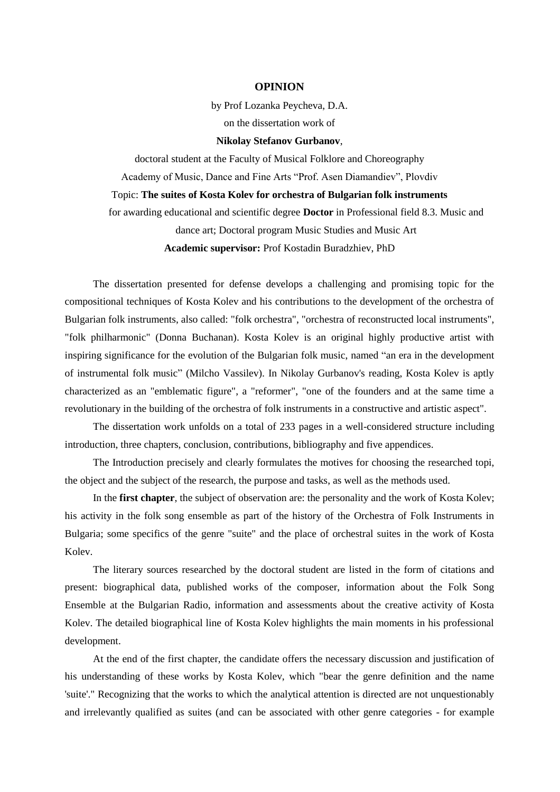## **OPINION**

by Prof Lozanka Peycheva, D.A. on the dissertation work of

**Nikolay Stefanov Gurbanov**,

doctoral student at the Faculty of Musical Folklore and Choreography Academy of Music, Dance and Fine Arts "Prof. Asen Diamandiev", Plovdiv Topic: **The suites of Kosta Kolev for orchestra of Bulgarian folk instruments** for awarding educational and scientific degree **Doctor** in Professional field 8.3. Music and dance art; Doctoral program Music Studies and Music Art **Academic supervisor:** Prof Kostadin Buradzhiev, PhD

The dissertation presented for defense develops a challenging and promising topic for the compositional techniques of Kosta Kolev and his contributions to the development of the orchestra of Bulgarian folk instruments, also called: "folk orchestra", "orchestra of reconstructed local instruments", "folk philharmonic" (Donna Buchanan). Kosta Kolev is an original highly productive artist with inspiring significance for the evolution of the Bulgarian folk music, named "an era in the development of instrumental folk music" (Milcho Vassilev). In Nikolay Gurbanov's reading, Kosta Kolev is aptly characterized as an "emblematic figure", a "reformer", "one of the founders and at the same time a revolutionary in the building of the orchestra of folk instruments in a constructive and artistic aspect".

The dissertation work unfolds on a total of 233 pages in a well-considered structure including introduction, three chapters, conclusion, contributions, bibliography and five appendices.

The Introduction precisely and clearly formulates the motives for choosing the researched topi, the object and the subject of the research, the purpose and tasks, as well as the methods used.

In the **first chapter**, the subject of observation are: the personality and the work of Kosta Kolev; his activity in the folk song ensemble as part of the history of the Orchestra of Folk Instruments in Bulgaria; some specifics of the genre "suite" and the place of orchestral suites in the work of Kosta Kolev.

The literary sources researched by the doctoral student are listed in the form of citations and present: biographical data, published works of the composer, information about the Folk Song Ensemble at the Bulgarian Radio, information and assessments about the creative activity of Kosta Kolev. The detailed biographical line of Kosta Kolev highlights the main moments in his professional development.

At the end of the first chapter, the candidate offers the necessary discussion and justification of his understanding of these works by Kosta Kolev, which "bear the genre definition and the name 'suite'." Recognizing that the works to which the analytical attention is directed are not unquestionably and irrelevantly qualified as suites (and can be associated with other genre categories - for example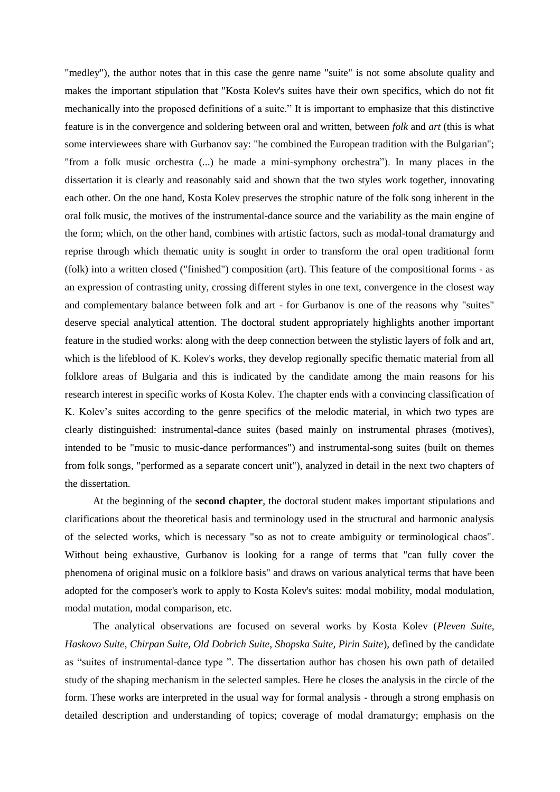"medley"), the author notes that in this case the genre name "suite" is not some absolute quality and makes the important stipulation that "Kosta Kolev's suites have their own specifics, which do not fit mechanically into the proposed definitions of a suite." It is important to emphasize that this distinctive feature is in the convergence and soldering between oral and written, between *folk* and *art* (this is what some interviewees share with Gurbanov say: "he combined the European tradition with the Bulgarian"; "from a folk music orchestra (...) he made a mini-symphony orchestra"). In many places in the dissertation it is clearly and reasonably said and shown that the two styles work together, innovating each other. On the one hand, Kosta Kolev preserves the strophic nature of the folk song inherent in the oral folk music, the motives of the instrumental-dance source and the variability as the main engine of the form; which, on the other hand, combines with artistic factors, such as modal-tonal dramaturgy and reprise through which thematic unity is sought in order to transform the oral open traditional form (folk) into a written closed ("finished") composition (art). This feature of the compositional forms - as an expression of contrasting unity, crossing different styles in one text, convergence in the closest way and complementary balance between folk and art - for Gurbanov is one of the reasons why "suites" deserve special analytical attention. The doctoral student appropriately highlights another important feature in the studied works: along with the deep connection between the stylistic layers of folk and art, which is the lifeblood of K. Kolev's works, they develop regionally specific thematic material from all folklore areas of Bulgaria and this is indicated by the candidate among the main reasons for his research interest in specific works of Kosta Kolev. The chapter ends with a convincing classification of K. Kolev's suites according to the genre specifics of the melodic material, in which two types are clearly distinguished: instrumental-dance suites (based mainly on instrumental phrases (motives), intended to be "music to music-dance performances") and instrumental-song suites (built on themes from folk songs, "performed as a separate concert unit"), analyzed in detail in the next two chapters of the dissertation.

At the beginning of the **second chapter**, the doctoral student makes important stipulations and clarifications about the theoretical basis and terminology used in the structural and harmonic analysis of the selected works, which is necessary "so as not to create ambiguity or terminological chaos". Without being exhaustive, Gurbanov is looking for a range of terms that "can fully cover the phenomena of original music on a folklore basis" and draws on various analytical terms that have been adopted for the composer's work to apply to Kosta Kolev's suites: modal mobility, modal modulation, modal mutation, modal comparison, etc.

The analytical observations are focused on several works by Kosta Kolev (*Pleven Suite, Haskovo Suite, Chirpan Suite, Old Dobrich Suite, Shopska Suite, Pirin Suite*), defined by the candidate as "suites of instrumental-dance type ". The dissertation author has chosen his own path of detailed study of the shaping mechanism in the selected samples. Here he closes the analysis in the circle of the form. These works are interpreted in the usual way for formal analysis - through a strong emphasis on detailed description and understanding of topics; coverage of modal dramaturgy; emphasis on the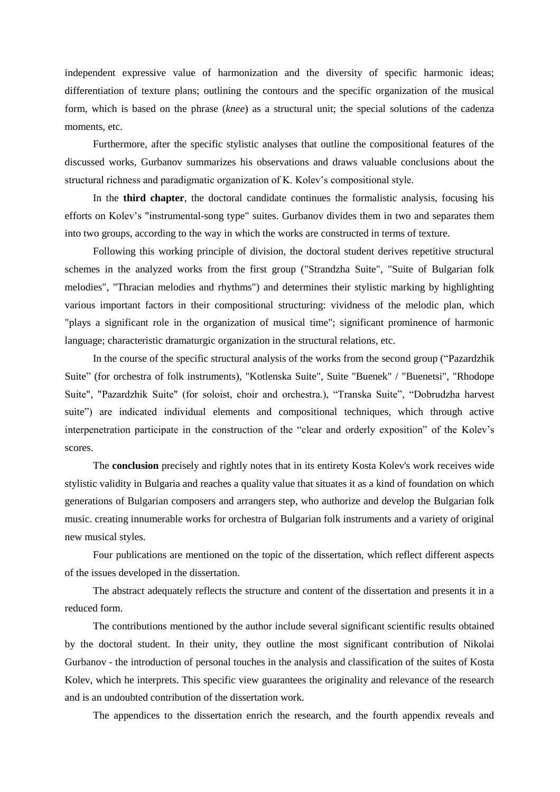independent expressive value of harmonization and the diversity of specific harmonic ideas; differentiation of texture plans; outlining the contours and the specific organization of the musical form, which is based on the phrase (*knee*) as a structural unit; the special solutions of the cadenza moments, etc.

Furthermore, after the specific stylistic analyses that outline the compositional features of the discussed works, Gurbanov summarizes his observations and draws valuable conclusions about the structural richness and paradigmatic organization of K. Kolev's compositional style.

In the **third chapter**, the doctoral candidate continues the formalistic analysis, focusing his efforts on Kolev's "instrumental-song type" suites. Gurbanov divides them in two and separates them into two groups, according to the way in which the works are constructed in terms of texture.

Following this working principle of division, the doctoral student derives repetitive structural schemes in the analyzed works from the first group ("Strandzha Suite", "Suite of Bulgarian folk melodies", "Thracian melodies and rhythms") and determines their stylistic marking by highlighting various important factors in their compositional structuring: vividness of the melodic plan, which "plays a significant role in the organization of musical time"; significant prominence of harmonic language; characteristic dramaturgic organization in the structural relations, etc.

In the course of the specific structural analysis of the works from the second group ("Pazardzhik Suite" (for orchestra of folk instruments), "Kotlenska Suite", Suite "Buenek" / "Buenetsi", "Rhodope Suite", "Pazardzhik Suite" (for soloist, choir and orchestra.), "Transka Suite", "Dobrudzha harvest suite") are indicated individual elements and compositional techniques, which through active interpenetration participate in the construction of the "clear and orderly exposition" of the Kolev's scores.

The **conclusion** precisely and rightly notes that in its entirety Kosta Kolev's work receives wide stylistic validity in Bulgaria and reaches a quality value that situates it as a kind of foundation on which generations of Bulgarian composers and arrangers step, who authorize and develop the Bulgarian folk music. creating innumerable works for orchestra of Bulgarian folk instruments and a variety of original new musical styles.

Four publications are mentioned on the topic of the dissertation, which reflect different aspects of the issues developed in the dissertation.

The abstract adequately reflects the structure and content of the dissertation and presents it in a reduced form.

The contributions mentioned by the author include several significant scientific results obtained by the doctoral student. In their unity, they outline the most significant contribution of Nikolai Gurbanov - the introduction of personal touches in the analysis and classification of the suites of Kosta Kolev, which he interprets. This specific view guarantees the originality and relevance of the research and is an undoubted contribution of the dissertation work.

The appendices to the dissertation enrich the research, and the fourth appendix reveals and